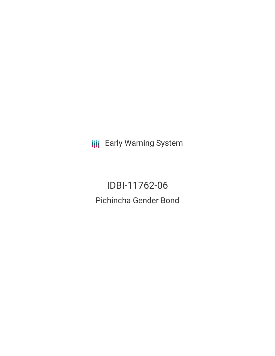**III** Early Warning System

IDBI-11762-06 Pichincha Gender Bond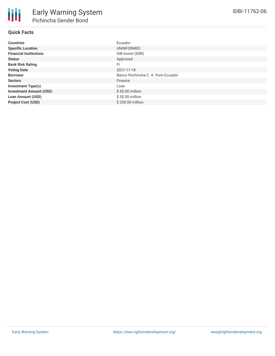# **Quick Facts**

| <b>Countries</b>               | Ecuador                            |
|--------------------------------|------------------------------------|
| <b>Specific Location</b>       | UNINFORMED                         |
| <b>Financial Institutions</b>  | IDB Invest (IDBI)                  |
| <b>Status</b>                  | Approved                           |
| <b>Bank Risk Rating</b>        | FI                                 |
| <b>Voting Date</b>             | 2021-11-18                         |
| <b>Borrower</b>                | Banco Pechincha C. A. from Ecuador |
| <b>Sectors</b>                 | Finance                            |
| <b>Investment Type(s)</b>      | Loan                               |
| <b>Investment Amount (USD)</b> | $$50.00$ million                   |
| <b>Loan Amount (USD)</b>       | \$50.00 million                    |
| <b>Project Cost (USD)</b>      | \$200.00 million                   |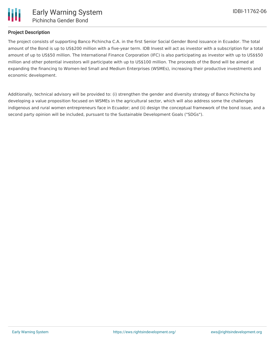

#### **Project Description**

The project consists of supporting Banco Pichincha C.A. in the first Senior Social Gender Bond issuance in Ecuador. The total amount of the Bond is up to US\$200 million with a five-year term. IDB Invest will act as investor with a subscription for a total amount of up to US\$50 million. The International Finance Corporation (IFC) is also participating as investor with up to US\$\$50 million and other potential investors will participate with up to US\$100 million. The proceeds of the Bond will be aimed at expanding the financing to Women-led Small and Medium Enterprises (WSMEs), increasing their productive investments and economic development.

Additionally, technical advisory will be provided to: (i) strengthen the gender and diversity strategy of Banco Pichincha by developing a value proposition focused on WSMEs in the agricultural sector, which will also address some the challenges indigenous and rural women entrepreneurs face in Ecuador; and (ii) design the conceptual framework of the bond issue, and a second party opinion will be included, pursuant to the Sustainable Development Goals ("SDGs").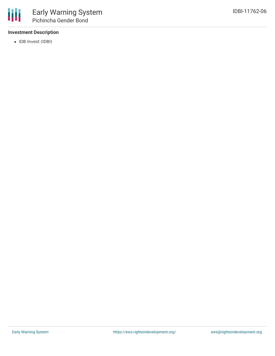## **Investment Description**

• IDB Invest (IDBI)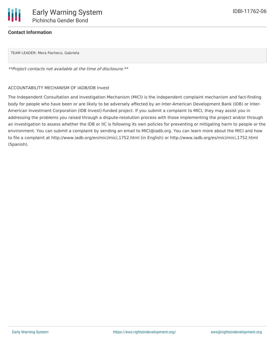\*\*Project contacts not available at the time of disclosure.\*\*

#### ACCOUNTABILITY MECHANISM OF IADB/IDB Invest

The Independent Consultation and Investigation Mechanism (MICI) is the independent complaint mechanism and fact-finding body for people who have been or are likely to be adversely affected by an Inter-American Development Bank (IDB) or Inter-American Investment Corporation (IDB Invest)-funded project. If you submit a complaint to MICI, they may assist you in addressing the problems you raised through a dispute-resolution process with those implementing the project and/or through an investigation to assess whether the IDB or IIC is following its own policies for preventing or mitigating harm to people or the environment. You can submit a complaint by sending an email to MICI@iadb.org. You can learn more about the MICI and how to file a complaint at http://www.iadb.org/en/mici/mici,1752.html (in English) or http://www.iadb.org/es/mici/mici,1752.html (Spanish).